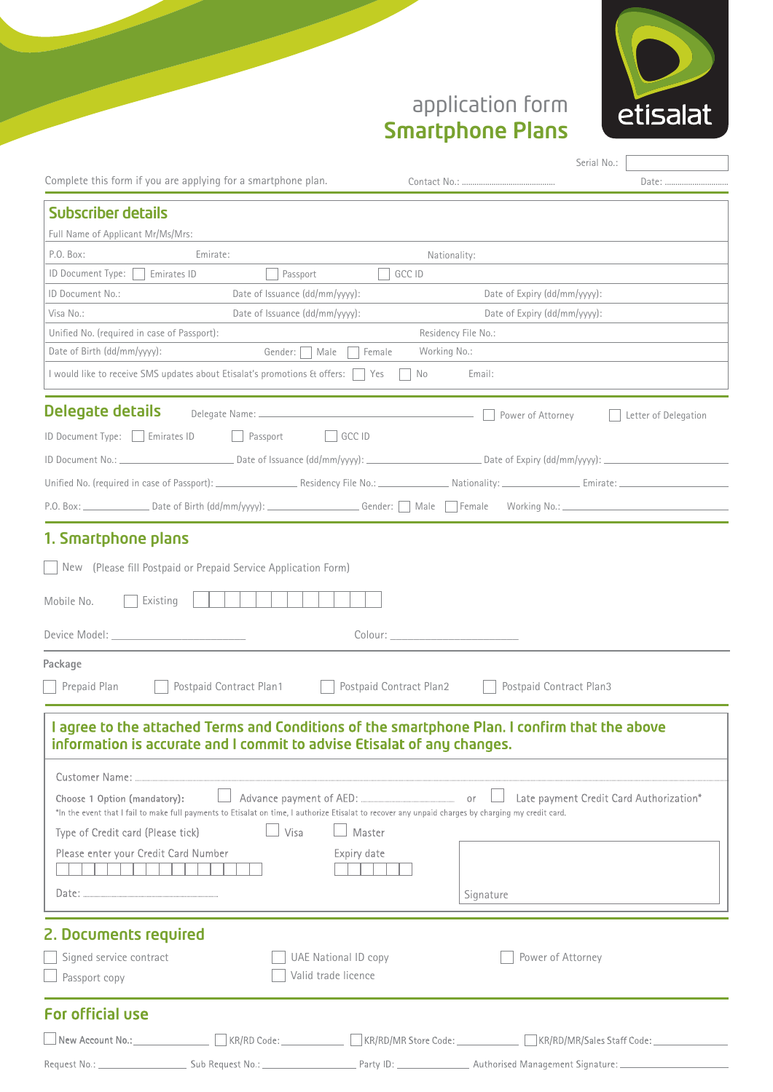

## application form Smartphone Plans

| Date:<br>Nationality:<br>GCC ID<br>Date of Expiry (dd/mm/yyyy):<br>Date of Expiry (dd/mm/yyyy):<br>Residency File No.:<br>Working No.:<br>Email:<br>No<br>Power of Attorney<br>Letter of Delegation |
|-----------------------------------------------------------------------------------------------------------------------------------------------------------------------------------------------------|
|                                                                                                                                                                                                     |
|                                                                                                                                                                                                     |
|                                                                                                                                                                                                     |
|                                                                                                                                                                                                     |
|                                                                                                                                                                                                     |
|                                                                                                                                                                                                     |
|                                                                                                                                                                                                     |
|                                                                                                                                                                                                     |
|                                                                                                                                                                                                     |
|                                                                                                                                                                                                     |
|                                                                                                                                                                                                     |
|                                                                                                                                                                                                     |
|                                                                                                                                                                                                     |
|                                                                                                                                                                                                     |
|                                                                                                                                                                                                     |
|                                                                                                                                                                                                     |
|                                                                                                                                                                                                     |
|                                                                                                                                                                                                     |
| Colour: the colour colour colour colour colour colours and colour colours of the colour colours of the colour                                                                                       |
|                                                                                                                                                                                                     |
| Postpaid Contract Plan2<br>Postpaid Contract Plan3                                                                                                                                                  |
|                                                                                                                                                                                                     |
| I agree to the attached Terms and Conditions of the smartphone Plan. I confirm that the above<br>information is accurate and I commit to advise Etisalat of any changes.                            |
|                                                                                                                                                                                                     |
| Late payment Credit Card Authorization*                                                                                                                                                             |
| *In the event that I fail to make full payments to Etisalat on time, I authorize Etisalat to recover any unpaid charges by charging my credit card.                                                 |
|                                                                                                                                                                                                     |
|                                                                                                                                                                                                     |
|                                                                                                                                                                                                     |
| Signature                                                                                                                                                                                           |
|                                                                                                                                                                                                     |
|                                                                                                                                                                                                     |
| Power of Attorney                                                                                                                                                                                   |
|                                                                                                                                                                                                     |
|                                                                                                                                                                                                     |

Request No.: \_\_ Sub Request No.:

\_ Party ID: \_

\_\_\_\_\_\_\_\_\_\_\_\_\_\_\_ Authorised Management Signature:\_